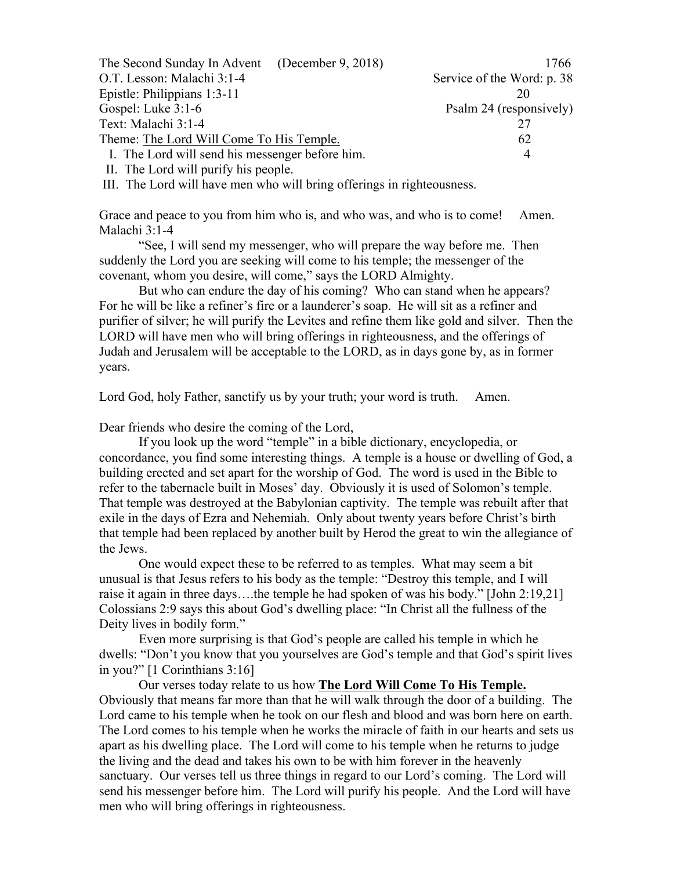| O.T. Lesson: Malachi 3:1-4<br>Service of the Word: p. 38 |  |
|----------------------------------------------------------|--|
| Epistle: Philippians 1:3-11                              |  |
| Gospel: Luke $3:1-6$<br>Psalm 24 (responsively)          |  |
| Text: Malachi 3:1-4                                      |  |
| Theme: The Lord Will Come To His Temple.<br>62           |  |
| I. The Lord will send his messenger before him.          |  |

II. The Lord will purify his people.

III. The Lord will have men who will bring offerings in righteousness.

Grace and peace to you from him who is, and who was, and who is to come! Amen. Malachi 3:1-4

"See, I will send my messenger, who will prepare the way before me. Then suddenly the Lord you are seeking will come to his temple; the messenger of the covenant, whom you desire, will come," says the LORD Almighty.

But who can endure the day of his coming? Who can stand when he appears? For he will be like a refiner's fire or a launderer's soap. He will sit as a refiner and purifier of silver; he will purify the Levites and refine them like gold and silver. Then the LORD will have men who will bring offerings in righteousness, and the offerings of Judah and Jerusalem will be acceptable to the LORD, as in days gone by, as in former years.

Lord God, holy Father, sanctify us by your truth; your word is truth. Amen.

Dear friends who desire the coming of the Lord,

If you look up the word "temple" in a bible dictionary, encyclopedia, or concordance, you find some interesting things. A temple is a house or dwelling of God, a building erected and set apart for the worship of God. The word is used in the Bible to refer to the tabernacle built in Moses' day. Obviously it is used of Solomon's temple. That temple was destroyed at the Babylonian captivity. The temple was rebuilt after that exile in the days of Ezra and Nehemiah. Only about twenty years before Christ's birth that temple had been replaced by another built by Herod the great to win the allegiance of the Jews.

One would expect these to be referred to as temples. What may seem a bit unusual is that Jesus refers to his body as the temple: "Destroy this temple, and I will raise it again in three days….the temple he had spoken of was his body." [John 2:19,21] Colossians 2:9 says this about God's dwelling place: "In Christ all the fullness of the Deity lives in bodily form."

Even more surprising is that God's people are called his temple in which he dwells: "Don't you know that you yourselves are God's temple and that God's spirit lives in you?" [1 Corinthians 3:16]

Our verses today relate to us how **The Lord Will Come To His Temple.** Obviously that means far more than that he will walk through the door of a building. The Lord came to his temple when he took on our flesh and blood and was born here on earth. The Lord comes to his temple when he works the miracle of faith in our hearts and sets us apart as his dwelling place. The Lord will come to his temple when he returns to judge the living and the dead and takes his own to be with him forever in the heavenly sanctuary. Our verses tell us three things in regard to our Lord's coming. The Lord will send his messenger before him. The Lord will purify his people. And the Lord will have men who will bring offerings in righteousness.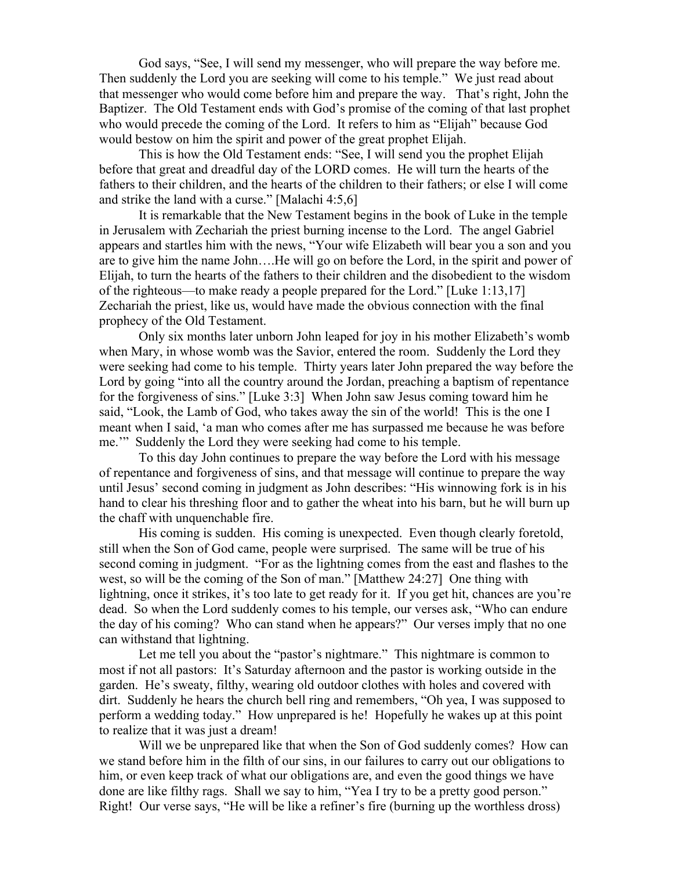God says, "See, I will send my messenger, who will prepare the way before me. Then suddenly the Lord you are seeking will come to his temple." We just read about that messenger who would come before him and prepare the way. That's right, John the Baptizer. The Old Testament ends with God's promise of the coming of that last prophet who would precede the coming of the Lord. It refers to him as "Elijah" because God would bestow on him the spirit and power of the great prophet Elijah.

This is how the Old Testament ends: "See, I will send you the prophet Elijah before that great and dreadful day of the LORD comes. He will turn the hearts of the fathers to their children, and the hearts of the children to their fathers; or else I will come and strike the land with a curse." [Malachi 4:5,6]

It is remarkable that the New Testament begins in the book of Luke in the temple in Jerusalem with Zechariah the priest burning incense to the Lord. The angel Gabriel appears and startles him with the news, "Your wife Elizabeth will bear you a son and you are to give him the name John….He will go on before the Lord, in the spirit and power of Elijah, to turn the hearts of the fathers to their children and the disobedient to the wisdom of the righteous—to make ready a people prepared for the Lord." [Luke 1:13,17] Zechariah the priest, like us, would have made the obvious connection with the final prophecy of the Old Testament.

Only six months later unborn John leaped for joy in his mother Elizabeth's womb when Mary, in whose womb was the Savior, entered the room. Suddenly the Lord they were seeking had come to his temple. Thirty years later John prepared the way before the Lord by going "into all the country around the Jordan, preaching a baptism of repentance for the forgiveness of sins." [Luke 3:3] When John saw Jesus coming toward him he said, "Look, the Lamb of God, who takes away the sin of the world! This is the one I meant when I said, 'a man who comes after me has surpassed me because he was before me.'" Suddenly the Lord they were seeking had come to his temple.

To this day John continues to prepare the way before the Lord with his message of repentance and forgiveness of sins, and that message will continue to prepare the way until Jesus' second coming in judgment as John describes: "His winnowing fork is in his hand to clear his threshing floor and to gather the wheat into his barn, but he will burn up the chaff with unquenchable fire.

His coming is sudden. His coming is unexpected. Even though clearly foretold, still when the Son of God came, people were surprised. The same will be true of his second coming in judgment. "For as the lightning comes from the east and flashes to the west, so will be the coming of the Son of man." [Matthew 24:27] One thing with lightning, once it strikes, it's too late to get ready for it. If you get hit, chances are you're dead. So when the Lord suddenly comes to his temple, our verses ask, "Who can endure the day of his coming? Who can stand when he appears?" Our verses imply that no one can withstand that lightning.

Let me tell you about the "pastor's nightmare." This nightmare is common to most if not all pastors: It's Saturday afternoon and the pastor is working outside in the garden. He's sweaty, filthy, wearing old outdoor clothes with holes and covered with dirt. Suddenly he hears the church bell ring and remembers, "Oh yea, I was supposed to perform a wedding today." How unprepared is he! Hopefully he wakes up at this point to realize that it was just a dream!

Will we be unprepared like that when the Son of God suddenly comes? How can we stand before him in the filth of our sins, in our failures to carry out our obligations to him, or even keep track of what our obligations are, and even the good things we have done are like filthy rags. Shall we say to him, "Yea I try to be a pretty good person." Right! Our verse says, "He will be like a refiner's fire (burning up the worthless dross)